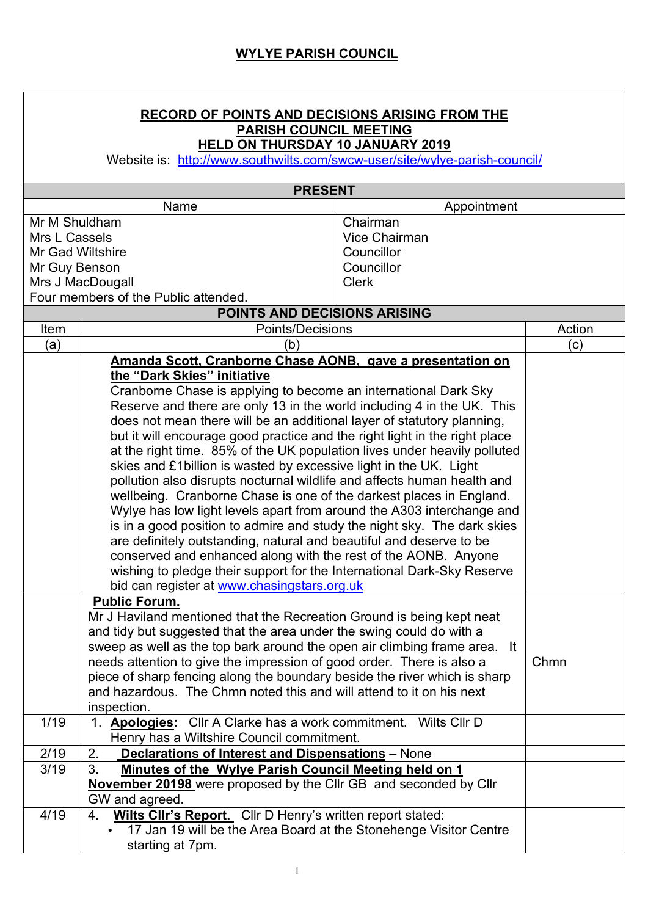| <b>RECORD OF POINTS AND DECISIONS ARISING FROM THE</b><br><b>PARISH COUNCIL MEETING</b><br><b>HELD ON THURSDAY 10 JANUARY 2019</b><br>Website is: http://www.southwilts.com/swcw-user/site/wylye-parish-council/ |                                                                                                                                                                                                                                                                                                                                                                                                                                                                                                                                                                                                                                                                                                                                                                                                                                                                                                                                                                                                                                                                                                                                                  |                      |        |  |  |
|------------------------------------------------------------------------------------------------------------------------------------------------------------------------------------------------------------------|--------------------------------------------------------------------------------------------------------------------------------------------------------------------------------------------------------------------------------------------------------------------------------------------------------------------------------------------------------------------------------------------------------------------------------------------------------------------------------------------------------------------------------------------------------------------------------------------------------------------------------------------------------------------------------------------------------------------------------------------------------------------------------------------------------------------------------------------------------------------------------------------------------------------------------------------------------------------------------------------------------------------------------------------------------------------------------------------------------------------------------------------------|----------------------|--------|--|--|
| <b>PRESENT</b>                                                                                                                                                                                                   |                                                                                                                                                                                                                                                                                                                                                                                                                                                                                                                                                                                                                                                                                                                                                                                                                                                                                                                                                                                                                                                                                                                                                  |                      |        |  |  |
|                                                                                                                                                                                                                  |                                                                                                                                                                                                                                                                                                                                                                                                                                                                                                                                                                                                                                                                                                                                                                                                                                                                                                                                                                                                                                                                                                                                                  |                      |        |  |  |
| Appointment<br>Mr M Shuldham<br>Chairman                                                                                                                                                                         |                                                                                                                                                                                                                                                                                                                                                                                                                                                                                                                                                                                                                                                                                                                                                                                                                                                                                                                                                                                                                                                                                                                                                  |                      |        |  |  |
| Mrs L Cassels                                                                                                                                                                                                    |                                                                                                                                                                                                                                                                                                                                                                                                                                                                                                                                                                                                                                                                                                                                                                                                                                                                                                                                                                                                                                                                                                                                                  | <b>Vice Chairman</b> |        |  |  |
| Mr Gad Wiltshire                                                                                                                                                                                                 |                                                                                                                                                                                                                                                                                                                                                                                                                                                                                                                                                                                                                                                                                                                                                                                                                                                                                                                                                                                                                                                                                                                                                  | Councillor           |        |  |  |
| Mr Guy Benson                                                                                                                                                                                                    |                                                                                                                                                                                                                                                                                                                                                                                                                                                                                                                                                                                                                                                                                                                                                                                                                                                                                                                                                                                                                                                                                                                                                  | Councillor           |        |  |  |
| Mrs J MacDougall                                                                                                                                                                                                 |                                                                                                                                                                                                                                                                                                                                                                                                                                                                                                                                                                                                                                                                                                                                                                                                                                                                                                                                                                                                                                                                                                                                                  | <b>Clerk</b>         |        |  |  |
|                                                                                                                                                                                                                  | Four members of the Public attended.                                                                                                                                                                                                                                                                                                                                                                                                                                                                                                                                                                                                                                                                                                                                                                                                                                                                                                                                                                                                                                                                                                             |                      |        |  |  |
|                                                                                                                                                                                                                  | POINTS AND DECISIONS ARISING                                                                                                                                                                                                                                                                                                                                                                                                                                                                                                                                                                                                                                                                                                                                                                                                                                                                                                                                                                                                                                                                                                                     |                      |        |  |  |
| Item                                                                                                                                                                                                             | Points/Decisions                                                                                                                                                                                                                                                                                                                                                                                                                                                                                                                                                                                                                                                                                                                                                                                                                                                                                                                                                                                                                                                                                                                                 |                      | Action |  |  |
| (a)                                                                                                                                                                                                              | (b)                                                                                                                                                                                                                                                                                                                                                                                                                                                                                                                                                                                                                                                                                                                                                                                                                                                                                                                                                                                                                                                                                                                                              |                      | (c)    |  |  |
|                                                                                                                                                                                                                  | Amanda Scott, Cranborne Chase AONB, gave a presentation on<br>the "Dark Skies" initiative<br>Cranborne Chase is applying to become an international Dark Sky<br>Reserve and there are only 13 in the world including 4 in the UK. This<br>does not mean there will be an additional layer of statutory planning,<br>but it will encourage good practice and the right light in the right place<br>at the right time. 85% of the UK population lives under heavily polluted<br>skies and £1 billion is wasted by excessive light in the UK. Light<br>pollution also disrupts nocturnal wildlife and affects human health and<br>wellbeing. Cranborne Chase is one of the darkest places in England.<br>Wylye has low light levels apart from around the A303 interchange and<br>is in a good position to admire and study the night sky. The dark skies<br>are definitely outstanding, natural and beautiful and deserve to be<br>conserved and enhanced along with the rest of the AONB. Anyone<br>wishing to pledge their support for the International Dark-Sky Reserve<br>bid can register at www.chasingstars.org.uk<br><b>Public Forum.</b> |                      |        |  |  |
|                                                                                                                                                                                                                  | Mr J Haviland mentioned that the Recreation Ground is being kept neat<br>and tidy but suggested that the area under the swing could do with a<br>sweep as well as the top bark around the open air climbing frame area. It<br>needs attention to give the impression of good order. There is also a<br>piece of sharp fencing along the boundary beside the river which is sharp<br>and hazardous. The Chmn noted this and will attend to it on his next<br>inspection.                                                                                                                                                                                                                                                                                                                                                                                                                                                                                                                                                                                                                                                                          |                      | Chmn   |  |  |
| 1/19                                                                                                                                                                                                             | 1. Apologies: Cllr A Clarke has a work commitment. Wilts Cllr D<br>Henry has a Wiltshire Council commitment.                                                                                                                                                                                                                                                                                                                                                                                                                                                                                                                                                                                                                                                                                                                                                                                                                                                                                                                                                                                                                                     |                      |        |  |  |
| 2/19                                                                                                                                                                                                             | 2.<br>Declarations of Interest and Dispensations - None                                                                                                                                                                                                                                                                                                                                                                                                                                                                                                                                                                                                                                                                                                                                                                                                                                                                                                                                                                                                                                                                                          |                      |        |  |  |
| 3/19                                                                                                                                                                                                             | 3.<br>Minutes of the Wylye Parish Council Meeting held on 1<br>November 20198 were proposed by the Cllr GB and seconded by Cllr<br>GW and agreed.                                                                                                                                                                                                                                                                                                                                                                                                                                                                                                                                                                                                                                                                                                                                                                                                                                                                                                                                                                                                |                      |        |  |  |
| 4/19                                                                                                                                                                                                             | Wilts Clir's Report. Clir D Henry's written report stated:<br>4.<br>17 Jan 19 will be the Area Board at the Stonehenge Visitor Centre<br>starting at 7pm.                                                                                                                                                                                                                                                                                                                                                                                                                                                                                                                                                                                                                                                                                                                                                                                                                                                                                                                                                                                        |                      |        |  |  |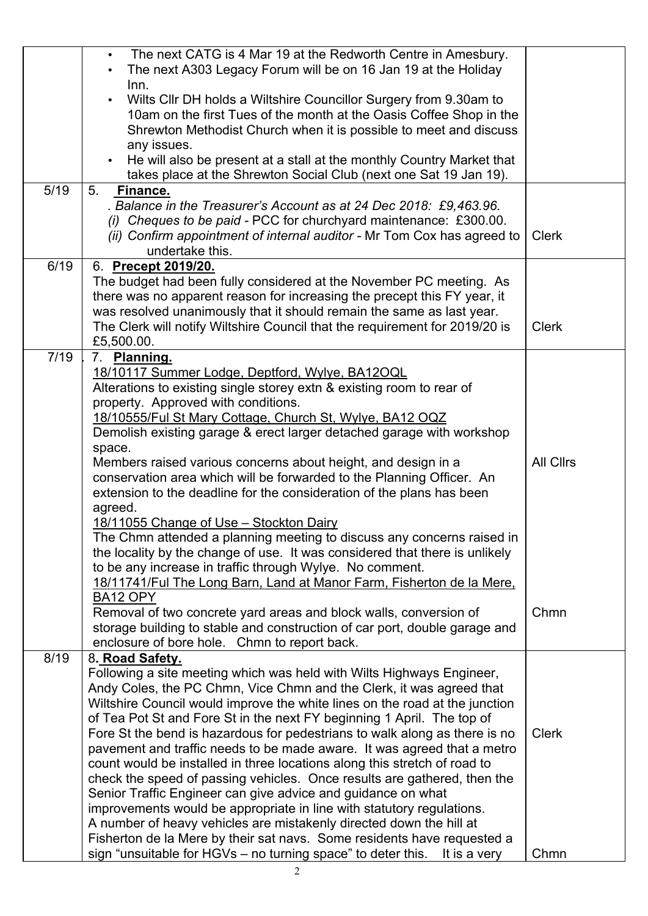|      | The next CATG is 4 Mar 19 at the Redworth Centre in Amesbury.<br>The next A303 Legacy Forum will be on 16 Jan 19 at the Holiday                 |                  |
|------|-------------------------------------------------------------------------------------------------------------------------------------------------|------------------|
|      | Inn.                                                                                                                                            |                  |
|      | Wilts Cllr DH holds a Wiltshire Councillor Surgery from 9.30am to                                                                               |                  |
|      | 10am on the first Tues of the month at the Oasis Coffee Shop in the                                                                             |                  |
|      | Shrewton Methodist Church when it is possible to meet and discuss                                                                               |                  |
|      | any issues.                                                                                                                                     |                  |
|      | He will also be present at a stall at the monthly Country Market that                                                                           |                  |
|      | takes place at the Shrewton Social Club (next one Sat 19 Jan 19).                                                                               |                  |
| 5/19 | 5 <sub>1</sub><br>Finance.                                                                                                                      |                  |
|      | . Balance in the Treasurer's Account as at 24 Dec 2018: £9,463.96.                                                                              |                  |
|      | (i) Cheques to be paid - PCC for churchyard maintenance: £300.00.                                                                               |                  |
|      | (ii) Confirm appointment of internal auditor - Mr Tom Cox has agreed to<br>undertake this.                                                      | <b>Clerk</b>     |
| 6/19 |                                                                                                                                                 |                  |
|      | 6. Precept 2019/20.                                                                                                                             |                  |
|      | The budget had been fully considered at the November PC meeting. As<br>there was no apparent reason for increasing the precept this FY year, it |                  |
|      | was resolved unanimously that it should remain the same as last year.                                                                           |                  |
|      | The Clerk will notify Wiltshire Council that the requirement for 2019/20 is                                                                     | <b>Clerk</b>     |
|      | £5,500.00.                                                                                                                                      |                  |
| 7/19 | 7. Planning.                                                                                                                                    |                  |
|      | 18/10117 Summer Lodge, Deptford, Wylye, BA12OQL                                                                                                 |                  |
|      | Alterations to existing single storey extn & existing room to rear of                                                                           |                  |
|      | property. Approved with conditions.                                                                                                             |                  |
|      | 18/10555/Ful St Mary Cottage, Church St, Wylye, BA12 OQZ                                                                                        |                  |
|      | Demolish existing garage & erect larger detached garage with workshop                                                                           |                  |
|      | space.                                                                                                                                          |                  |
|      | Members raised various concerns about height, and design in a                                                                                   | <b>All Clirs</b> |
|      | conservation area which will be forwarded to the Planning Officer. An                                                                           |                  |
|      | extension to the deadline for the consideration of the plans has been                                                                           |                  |
|      | agreed.                                                                                                                                         |                  |
|      | 18/11055 Change of Use - Stockton Dairy                                                                                                         |                  |
|      | The Chmn attended a planning meeting to discuss any concerns raised in                                                                          |                  |
|      | the locality by the change of use. It was considered that there is unlikely                                                                     |                  |
|      | to be any increase in traffic through Wylye. No comment.                                                                                        |                  |
|      | 18/11741/Ful The Long Barn, Land at Manor Farm, Fisherton de la Mere,                                                                           |                  |
|      | <b>BA12 OPY</b>                                                                                                                                 |                  |
|      | Removal of two concrete yard areas and block walls, conversion of<br>storage building to stable and construction of car port, double garage and | Chmn             |
|      | enclosure of bore hole. Chmn to report back.                                                                                                    |                  |
| 8/19 | 8. Road Safety.                                                                                                                                 |                  |
|      | Following a site meeting which was held with Wilts Highways Engineer,                                                                           |                  |
|      | Andy Coles, the PC Chmn, Vice Chmn and the Clerk, it was agreed that                                                                            |                  |
|      | Wiltshire Council would improve the white lines on the road at the junction                                                                     |                  |
|      | of Tea Pot St and Fore St in the next FY beginning 1 April. The top of                                                                          |                  |
|      | Fore St the bend is hazardous for pedestrians to walk along as there is no                                                                      | <b>Clerk</b>     |
|      | pavement and traffic needs to be made aware. It was agreed that a metro                                                                         |                  |
|      | count would be installed in three locations along this stretch of road to                                                                       |                  |
|      | check the speed of passing vehicles. Once results are gathered, then the                                                                        |                  |
|      | Senior Traffic Engineer can give advice and guidance on what                                                                                    |                  |
|      | improvements would be appropriate in line with statutory regulations.                                                                           |                  |
|      | A number of heavy vehicles are mistakenly directed down the hill at                                                                             |                  |
|      | Fisherton de la Mere by their sat navs. Some residents have requested a                                                                         |                  |
|      | sign "unsuitable for HGVs – no turning space" to deter this.<br>It is a very                                                                    | Chmn             |